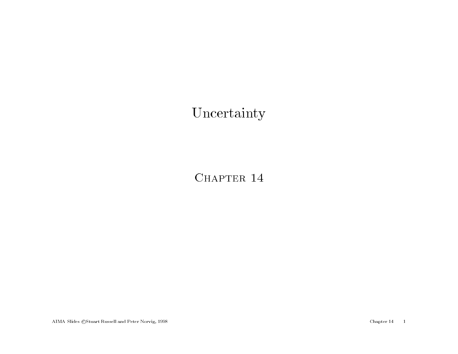## Uncertainty

CHAPTER 14

AIMA Slides ©Stuart Russell and Peter Norvig, 1998 Chapter 14 1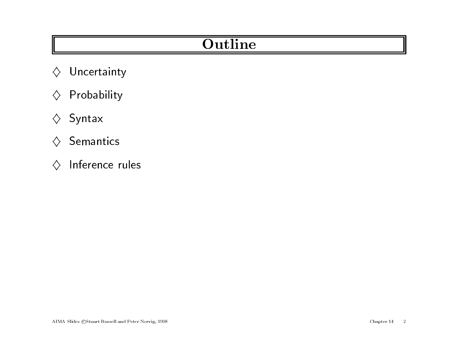# **Outline**

- **Manuele Street Section**<br>  $\begin{array}{ccc}\triangle&\textsf{Uncertainty}\end{array}$  $\diamondsuit$  Uncertaint<sub>!</sub><br> $\diamondsuit$  Probability
- $\diamondsuit$  Probability<br> $\diamondsuit$  Syntax
- 
- $\diamond$  Semantics
- $\diamondsuit$  Inference rules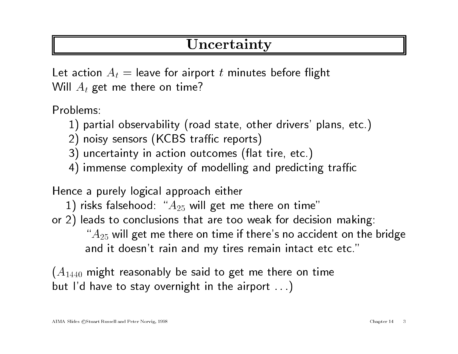### Uncertainty

Let action  $A_t =$  leave for airport t minutes before flight Will  $A_t$  get me there on time?

Problems:

- 1) partial observability (road state, other drivers' <sup>p</sup>lans, etc.)
- 2) noisy sensors (KCBS traffic reports)
- 3) uncertainty in action outcomes (flat tire, etc.)
- 4) immense complexity of modelling and predicting traffic

Hence <sup>a</sup> purely logical approach either

- 1) risks falsehood: " $A_{25}$  will get me there on time"
- or 2) leads to conclusions that are too weak for decision making: ads to conclusions that are too weak for decision making:<br>" $A_{25}$  will get me there on time if there's no accident on the bridge " $A_{25}$  will get me there on time if there's no accident on t<br>and it doesn't rain and my tires remain intact etc etc."

 $(A_{1440}$  might reasonably be said to get me there on time but I'd have to stay overnight in the airport  $\ldots$ )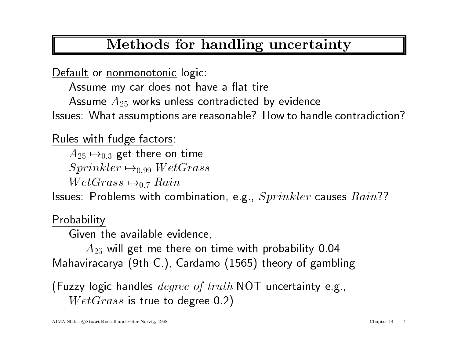# Methods for handling uncertainty

Default or nonmonotonic logic:

Assume my car does not have a flat tire

Assume  $A_{25}$  works unless contradicted by evidence

Issues: What assumptions are reasonable? How to handle contradiction?

Rules with fudge factors:

 $A_{25} \mapsto_{0.3}$  get there on time  $A_{25} \mapsto_{0.3}$  get there on time<br> $Sprinkler \mapsto_{0.99} WetGrass$ 

 $Sprinkler \mapsto_{0.99} Wet$ <br> $WetGrass \mapsto_{0.7} Rain$ 

 $WetGrass \mapsto_{0.7} Rain$ <br>Issues: Problems with combination, e.g.,  $Sprinkler$  causes  $Rain??$ 

**Probability** 

Given the available evidence,

 $A_{25}$  will get me there on time with probability 0.04 Mahaviracarya (9th C.), Cardamo (1565) theory of gambling

wianaviracarya (3th C.), Cardamo (1909) theory or gambin<br>(Fuzzy logic handles  $degree\ of\ truth$  NOT uncertainty e.g., <u>zzy logic</u> handles  $degree\ of\ truth\ WetGrass$  is true to degree 0.2)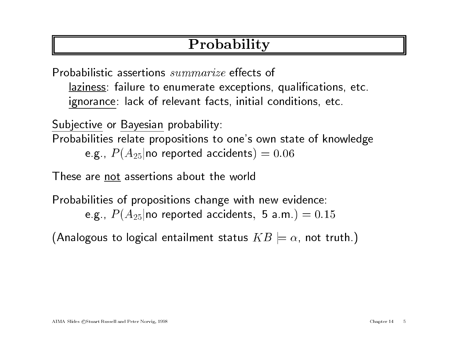# Probability

Probabilistic assertions summarize effects of laziness: failure to enumerate exceptions, qualications, etc. ignorance: lack of relevant facts, initial conditions, etc.

Subjective or Bayesian probability:

Probabilities relate propositions to one's own state of knowledge

e.g.,  $P(A_{25}|\text{no reported accidents})=0.06$ 

These are not assertions about the world

Probabilities of propositions change with new evidence:

e.g.,  $P(A_{25}|\text{no reported accidents}, 5 \text{ a.m.})=0.15$ 

(Analogous to logical entailment status  $KB\models\alpha,$  not truth.)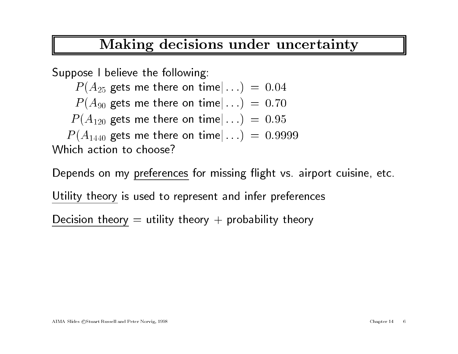## Making decisions under uncertainty

Suppose <sup>I</sup> believe the following:

 $P(A_{25}$  gets me there on time $|...$  = 0.04

 $\begin{aligned} P(A_{25}~\text{gets}\text{ the following:} \ P(A_{25}~\text{gets}\text{ me there on time}|\ldots) \ =\ 0.04 \ P(A_{90}~\text{gets}\text{ me there on time}|\ldots) \ =\ 0.70 \end{aligned}$  $P(A_{25}$  gets me there on time $|...$  = 0.04<br>  $P(A_{90}$  gets me there on time $|...$  = 0.70<br>  $P(A_{120}$  gets me there on time $|...$  = 0.95

 $P(A_{90}$  gets me there on time $|...$  = 0.70<br>  $P(A_{120}$  gets me there on time $|...$  = 0.95<br>  $P(A_{1440}$  gets me there on time $|...$  = 0.9999 Which action to choose?

Depends on my preferences for missing flight vs. airport cuisine, etc.

Utility theory is used to represent and infer preferences

Decision theory  $=$  utility theory  $+$  probability theory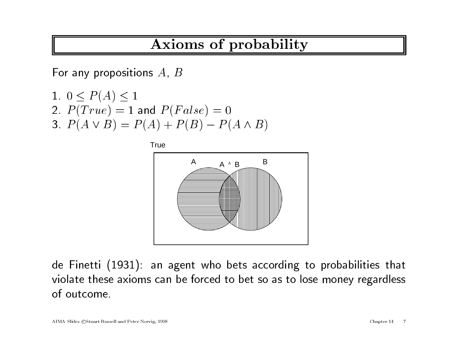# Axioms of probability

 $\begin{array}{c|cc}\n & \textbf{Axis} \ \hline\end{array}$  For any propositions  $A, \, B$ For any propositi $1. \hspace{0.1cm} 0 \leq P(A) \leq 1$ 

1. 
$$
0 \le P(A) \le 1
$$
  
\n2.  $P(True) = 1$  and  $P(False) = 0$   
\n3.  $P(A \vee B) = P(A) + P(B) - P(A \wedge B)$ 



de Finetti (1931): an agen<sup>t</sup> who bets according to probabilities that violate these axioms can be forced to bet so as to lose money regardless of outcome.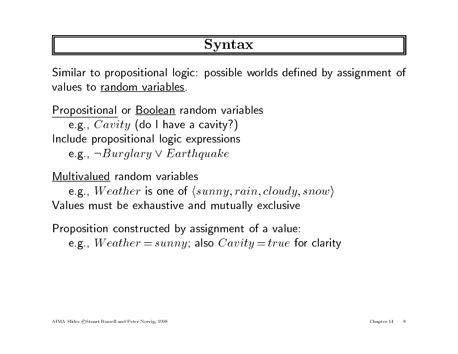## Syntax

Similar to propositional logic: possible worlds defined by assignment of values to random variables.

Propositional or Boolean random variables e.g.,  $Cavity$  (do I have a cavity?) e.g.,  $Cavity$  (ao 1 nave a cavity!)<br>Include propositional logic expressions<br>e.g.,  $\neg Burglary \vee Earthquake$ e.g.,  $\neg Burglary \vee Earthquake$ <br>Multivalued random variables

e.g., Weather is one of  $\langle sunny, rain, cloudy, snow \rangle$ Values must be exhaustive and mutually exclusive

Proposition constructed by assignment of <sup>a</sup> value: e.g.,  $Weather = sunny$ ; also  $Cavity = true$  for clarity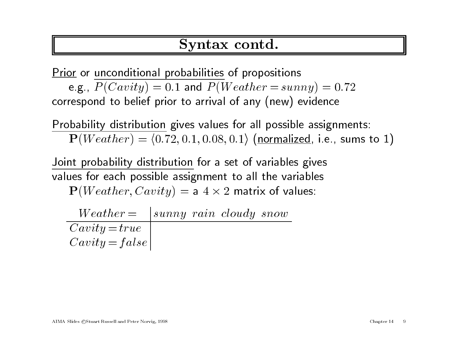#### Syntax contd.

Prior or unconditional probabilities of propositions

e.g.,  $P(Cavity) = 0.1$  and  $P(Weather = sunny) = 0.72$ correspond to belief prior to arrival of any (new) evidence

Probability distribution <sup>g</sup>ives values for all possible assignments:  ${\bf P}(Weather) = \langle 0.72, 0.1, 0.08, 0.1 \rangle$  (normalized, i.e., sums to 1)

 $\mathbf{I}$  (*Weather)* = (0.12, 0.1, 0.00, 0.1/ (<u>Hormanzed</u>, 1.6<br>Joint probability distribution for a set of variables gives Joint propability distribution for a set of variables gives<br>values for each possible assignment to all the variables t to all the variabl<mark>es:</mark><br>2 matrix of values:

 ${\bf P}(Weather, Cavity) = {\sf a}~4 \times {\bf P}(Weather, Cavity)$ Weather, Cavity) = a  $4 \times 2$  matrix of v<br>Weather =  $\int \text{sumny } rain \text{ cloudy} snow$ 

 $\begin{array}{c|c|c} Weather = & sunny\ rain\ cloudy\ snow\\ \hline Cavity = true & \end{array}$  $Cavity = false$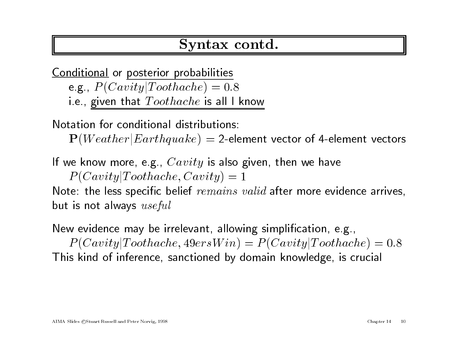#### Syntax contd.

Conditional or posterior probabilities e.g.,  $P(Cavity | Toothache) = 0.8$ i.e., given that  $Toothache$  is all I know

Notation for conditional distributions:

 $P(Weather|Earthquake) = 2$ -element vector of 4-element vectors

If we know more, e.g.,  $Cavity$  is also given, then we have  $P(Cavity | Toothache, Cavity) = 1$ 

Note: the less specific belief  $remains$  valid after more evidence arrives, but is not always  $useful$ 

New evidence may be irrelevant, allowing simplication, e.g.,  $P(Cavity | Toothache, 49ersWin) = P(Cavity | Toothache) = 0.8$ This kind of inference, sanctioned by domain knowledge, is crucial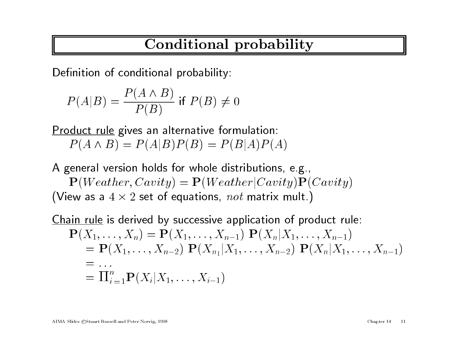# Conditional probability

Definition of conditional probability:  
\n
$$
P(A|B) = \frac{P(A \land B)}{P(B)}
$$
if  $P(B) \neq 0$ 

Product rule gives an alternative formulation:

 $P(A \wedge B) = P(A|B)P(B) = P(B|A)P(A)$ 

<sup>A</sup> genera<sup>l</sup> version holds for whole distributions, e.g., P( $P(Y|P) = (P|P)P(P) + (P|P)P(P)P(P)$ <br>
eneral version holds for whole distributions, e.g.,<br>  $\mathbf{P}(Weather, Cavity) = \mathbf{P}(Weather|Cavity) \mathbf{P}(Cavity)$ (View as a  $4 \times 2$  set of equations, not matrix mult.)  $\mathbf{P}_{1}, Cavity) = \mathbf{P}(Weather|Cavity)\mathbf{P}(2 \text{ set of equations, } not \text{ matrix mult.})$ 

Chain rule is derived by successive application of product rule:  $\frac{1}{n}$  and  $\frac{1}{n}$  is derived by successive application of product ru<br>  $\mathbf{P}(X_1,\ldots,X_n) = \mathbf{P}(X_1,\ldots,X_{n-1}) \; \mathbf{P}(X_n|X_1,\ldots,X_{n-1})$ <u>rule</u> is derived by successive application of product rule:<br> $X_1,\ldots,X_n) = \mathbf{P}(X_1,\ldots,X_{n-1}) \; \mathbf{P}(X_n|X_1,\ldots,X_{n-1}) \ = \mathbf{P}(X_1,\ldots,X_{n-2}) \; \mathbf{P}(X_{n_1}|X_1,\ldots,X_{n-2}) \; \mathbf{P}(X_n|X_1,\ldots,X_{n-1})$  $\frac{X}{\equiv}$  $=$  ...  $= {\bf P}(X_1,\ldots,X_{n-2})\,\, {\bf P}(X_{n_1}|\ =\ \ldots\ = \Pi_{i=1}^n {\bf P}(X_i|X_1,\ldots,X_{i-1})$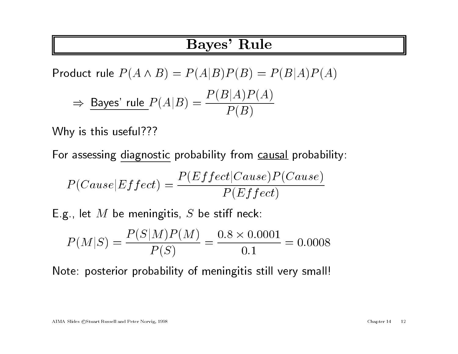#### Bayes' Rule

Product rule  $P(A \wedge B) = P(A|B)P(B) = P(B|A)P(A)$  $\Rightarrow$  Bayes' rule  $P(A|B) = \frac{P(B|A)P(A)}{P(B)}$ 

Why is this useful???

ر<br>For assessing diagnostic probability from <u>causal</u> probability:

For assessing diagnostic probability from causal probab  

$$
P(Cause|Effect) = \frac{P(Effect|Cause)P(Cause)}{P(Effect)}
$$
  
E.g., let *M* be meningitis, *S* be stiff neck:

g., let *M* be meningitis, *S* be stiff neck:  

$$
P(M|S) = \frac{P(S|M)P(M)}{P(S)} = \frac{0.8 \times 0.0001}{0.1} = 0.0008
$$

Note: posterior probability of meningitis still very small!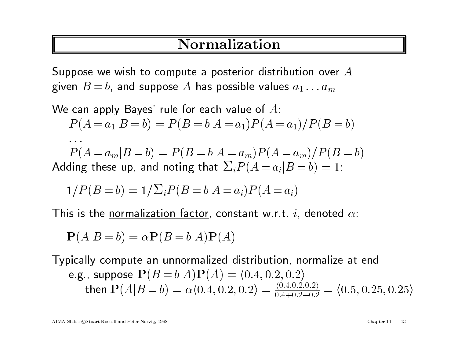## Normalization

Suppose we wish to compute a posterior distribution over A given  $B = b$ , and suppose A has possible values  $a_1 \ldots a_m$ 

We can apply Bayes' rule for each value of A:  
\n
$$
P(A = a_1 | B = b) = P(B = b | A = a_1) P(A = a_1) / P(B = b)
$$
\n...\n
$$
P(A = a_m | B = b) = P(B = b | A = a_m) P(A = a_m) / P(B = b)
$$
\nAdding these up, and noting that 
$$
\sum_i P(A = a_i | B = b) = 1
$$
:  
\n
$$
1 / P(B = b) = 1 / \sum_i P(B = b | A = a_i) P(A = a_i)
$$

 $T/T (D=0) = T/Z_{i}T (D=0)T = a_{i}T T T a_{i}T$ <br>This is the <u>normalization factor</u>, constant w.r.t. *i*, denoted  $\alpha$ :

is is the normalization factor, const  

$$
\mathbf{P}(A|B=b) = \alpha \mathbf{P}(B=b|A)\mathbf{P}(A)
$$

Typically compute an unnormalized distribution, normalize at end e.g., suppose  $P(B = b|A)P(A) = (0.4, 0.2, 0.2)$ then  $P(A|B = b) = \alpha \langle 0.4, 0.2, 0.2 \rangle = \frac{\langle 0.4, 0.2, 0.2 \rangle}{0.4+0.2+0.2} = \langle 0.5, 0.25, 0.25 \rangle$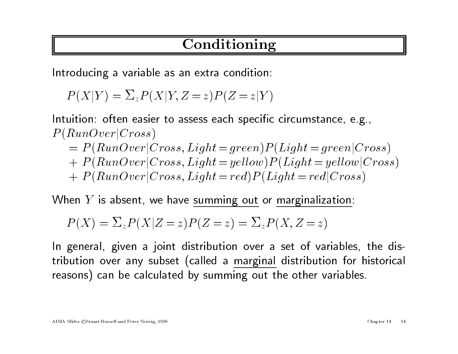# Conditioning

Introducing <sup>a</sup> variable as an extra condition:

 $P(X|Y) = \sum_{z} P(X|Y, Z=z)P(Z=z|Y)$ 

Intuition: often easier to assess each specific circumstance, e.g.,  $P(RunOver|Cross)$ uition: often easier to assess each specific circumstance, e.g.,<br>  $RunOver|Cross)$ <br>  $= P(RunOver|Cross, Light = green)P(Light = green|Cross)$ 

- $\begin{aligned} RunOver | Cross) \ = &~ P(RunOver | Cross, Light = green) P(Light = green | Cross) \ + &~ P(RunOver | Cross, Light = yellow) P(Light = yellow | Cross) \end{aligned}$
- +  $P(RunOver|Cross, Light = yellow)P(Light = yellow|Cross)$ <br>+  $P(RunOver|Cross, Light = red)P(Light = red|Cross)$
- 

 $P(RunOver(Cross, Light=red) P(Light=red) Coros$ . When  $Y$  is absent, we have summing out or marginalization:

Then Y is absent, we have summing out or marginaliza  

$$
P(X) = \sum_{z} P(X|Z=z)P(Z=z) = \sum_{z} P(X, Z=z)
$$

In general, given a joint distribution over a set of variables, the distribution over any subset (called a marginal distribution for historical reasons) can be calculated by summing out the other variables.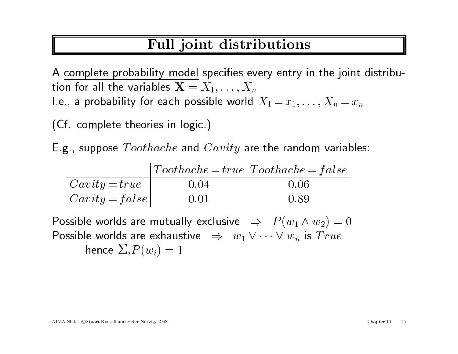# Full joint distributions

A complete probability model specifies every entry in the joint distribution for all the variables  $\mathbf{X} = X_1,\ldots,X_n$ I.e., a probability for each possible world  $X_1 = x_1,\ldots,X_n = x_n$ 

(Cf. complete theories in logic.)

 $\epsilon$  . compicte theories in logic.)<br>E.g., suppose  $Toothache$  and  $Cavity$  are the random variables:

| E.g., suppose $Toothache$ and $Cavity$ are the random varial    |                                                                                 |      |
|-----------------------------------------------------------------|---------------------------------------------------------------------------------|------|
|                                                                 | $Toothache = true \ Toothache = false$                                          |      |
|                                                                 | 0.04                                                                            | 0.06 |
| $\begin{array}{c c} Cavity = true \ Cavity = false \end{array}$ | 0.01                                                                            | 0.89 |
|                                                                 | Possible worlds are mutually exclusive $\;\;\Rightarrow\;\; P(w_1\wedge w_2)=0$ |      |

 $Cavity = false \begin{vmatrix} 0.01 & 0.89 \ \end{vmatrix}$ <br>Possible worlds are mutually exclusive  $\begin{vmatrix} \Rightarrow & P(w_1 \wedge w_2) = \ \end{vmatrix}$ <br>Possible worlds are exhaustive  $\begin{vmatrix} \Rightarrow & w_1 \vee \cdots \vee w_n \ \end{vmatrix}$  is  $True$ Possible worlds are exhaustive  $\Rightarrow w_1 \vee \cdots \vee w_n$  is  $True$ <br>hence  $\Sigma_i P(w_i)=1$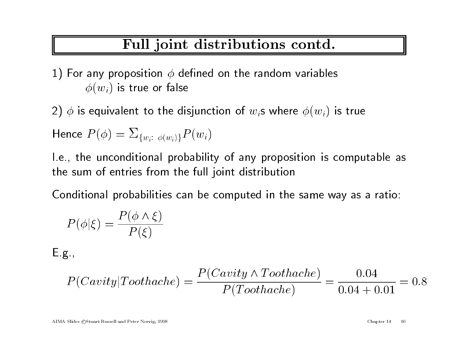# Full joint distributions contd.

1) For any proposition  $\phi$  defined on the random variables  $\phi(w_i)$  is true or false

 $\phi(w_i)$  is true or talse $2) \; \phi$  is equivalent to the disjunction of  $w_i$ s where  $\phi(w_i)$  is true

2) 
$$
\phi
$$
 is equivalent to the disjunct  
Hence  $P(\phi) = \sum_{\{w_i:\ \phi(w_i)\}} P(w_i)$ 

INCINC  $I_+(\varphi)=\angle_{\{w_i:\ \phi(w_i)\}}I_+(\varphi_i)$ <br>I.e., the unconditional probability of any proposition is computable as I.e., the unconditional probability of any propos<br>the sum of entries from the full joint distribution

Conditional probabilities can be computed in the same way as a ratio:<br>  $P(\phi|\xi) = \frac{P(\phi \land \xi)}{P(\xi)}$ 

$$
P(\phi|\xi) = \frac{P(\phi \wedge \xi)}{P(\xi)}
$$

 $E.g.,$ 

$$
P(Cavity|Toothache) = \frac{P(Cavity \land Toothache)}{P(Toothache)} = \frac{0.04}{0.04 + 0.01} = 0.8
$$